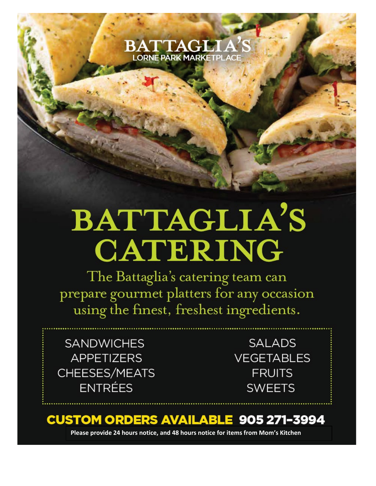

## BATTAGLIA'S **CATERING**

The Battaglia's catering team can prepare gourmet platters for any occasion using the finest, freshest ingredients.

**SANDWICHES APPETIZERS** CHEESES/MEATS **ENTRÉES** 

**SALADS VEGETABLES FRUITS SWEETS** 

## **CUSTOM ORDERS AVAILABLE 905 271-3994**

Please provide 24 hours notice, and 48 hours notice for items from Mom's Kitchen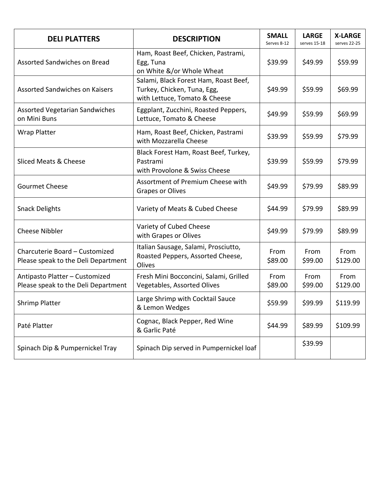| <b>DELI PLATTERS</b>                                                  | <b>DESCRIPTION</b>                                                                                    | <b>SMALL</b><br>Serves 8-12 | <b>LARGE</b><br>serves 15-18 | <b>X-LARGE</b><br>serves 22-25 |
|-----------------------------------------------------------------------|-------------------------------------------------------------------------------------------------------|-----------------------------|------------------------------|--------------------------------|
| Assorted Sandwiches on Bread                                          | Ham, Roast Beef, Chicken, Pastrami,<br>Egg, Tuna<br>on White &/or Whole Wheat                         | \$39.99                     | \$49.99                      | \$59.99                        |
| <b>Assorted Sandwiches on Kaisers</b>                                 | Salami, Black Forest Ham, Roast Beef,<br>Turkey, Chicken, Tuna, Egg,<br>with Lettuce, Tomato & Cheese | \$49.99                     | \$59.99                      | \$69.99                        |
| <b>Assorted Vegetarian Sandwiches</b><br>on Mini Buns                 | Eggplant, Zucchini, Roasted Peppers,<br>Lettuce, Tomato & Cheese                                      | \$49.99                     | \$59.99                      | \$69.99                        |
| <b>Wrap Platter</b>                                                   | Ham, Roast Beef, Chicken, Pastrami<br>with Mozzarella Cheese                                          | \$39.99                     | \$59.99                      | \$79.99                        |
| Sliced Meats & Cheese                                                 | Black Forest Ham, Roast Beef, Turkey,<br>Pastrami<br>with Provolone & Swiss Cheese                    | \$39.99                     | \$59.99                      | \$79.99                        |
| <b>Gourmet Cheese</b>                                                 | Assortment of Premium Cheese with<br><b>Grapes or Olives</b>                                          | \$49.99                     | \$79.99                      | \$89.99                        |
| <b>Snack Delights</b>                                                 | Variety of Meats & Cubed Cheese                                                                       | \$44.99                     | \$79.99                      | \$89.99                        |
| <b>Cheese Nibbler</b>                                                 | Variety of Cubed Cheese<br>with Grapes or Olives                                                      | \$49.99                     | \$79.99                      | \$89.99                        |
| Charcuterie Board - Customized<br>Please speak to the Deli Department | Italian Sausage, Salami, Prosciutto,<br>Roasted Peppers, Assorted Cheese,<br>Olives                   | From<br>\$89.00             | From<br>\$99.00              | From<br>\$129.00               |
| Antipasto Platter - Customized<br>Please speak to the Deli Department | Fresh Mini Bocconcini, Salami, Grilled<br>Vegetables, Assorted Olives                                 | From<br>\$89.00             | From<br>\$99.00              | From<br>\$129.00               |
| <b>Shrimp Platter</b>                                                 | Large Shrimp with Cocktail Sauce<br>& Lemon Wedges                                                    | \$59.99                     | \$99.99                      | \$119.99                       |
| Paté Platter                                                          | Cognac, Black Pepper, Red Wine<br>& Garlic Paté                                                       | \$44.99                     | \$89.99                      | \$109.99                       |
| Spinach Dip & Pumpernickel Tray                                       | Spinach Dip served in Pumpernickel loaf                                                               |                             | \$39.99                      |                                |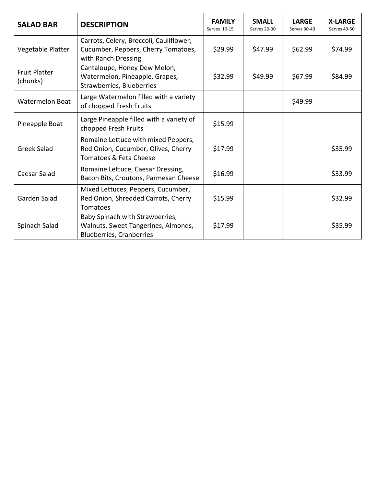| <b>SALAD BAR</b>                 | <b>DESCRIPTION</b>                                                                                        | <b>FAMILY</b><br>Serves 10-15 | <b>SMALL</b><br>Serves 20-30 | <b>LARGE</b><br>Serves 30-40 | <b>X-LARGE</b><br>Serves 40-50 |
|----------------------------------|-----------------------------------------------------------------------------------------------------------|-------------------------------|------------------------------|------------------------------|--------------------------------|
| Vegetable Platter                | Carrots, Celery, Broccoli, Cauliflower,<br>Cucumber, Peppers, Cherry Tomatoes,<br>with Ranch Dressing     | \$29.99                       | \$47.99                      | \$62.99                      | \$74.99                        |
| <b>Fruit Platter</b><br>(chunks) | Cantaloupe, Honey Dew Melon,<br>Watermelon, Pineapple, Grapes,<br>Strawberries, Blueberries               | \$32.99                       | \$49.99                      | \$67.99                      | \$84.99                        |
| <b>Watermelon Boat</b>           | Large Watermelon filled with a variety<br>of chopped Fresh Fruits                                         |                               |                              | \$49.99                      |                                |
| Pineapple Boat                   | Large Pineapple filled with a variety of<br>chopped Fresh Fruits                                          | \$15.99                       |                              |                              |                                |
| <b>Greek Salad</b>               | Romaine Lettuce with mixed Peppers,<br>Red Onion, Cucumber, Olives, Cherry<br>Tomatoes & Feta Cheese      | \$17.99                       |                              |                              | \$35.99                        |
| Caesar Salad                     | Romaine Lettuce, Caesar Dressing,<br>Bacon Bits, Croutons, Parmesan Cheese                                | \$16.99                       |                              |                              | \$33.99                        |
| Garden Salad                     | Mixed Lettuces, Peppers, Cucumber,<br>Red Onion, Shredded Carrots, Cherry<br>Tomatoes                     | \$15.99                       |                              |                              | \$32.99                        |
| Spinach Salad                    | Baby Spinach with Strawberries,<br>Walnuts, Sweet Tangerines, Almonds,<br><b>Blueberries, Cranberries</b> | \$17.99                       |                              |                              | \$35.99                        |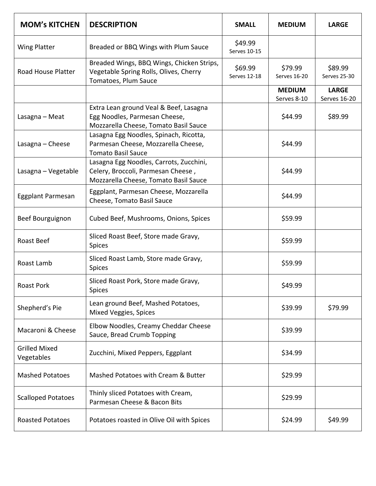| <b>MOM's KITCHEN</b>               | <b>DESCRIPTION</b>                                                                                                     | <b>SMALL</b>            | <b>MEDIUM</b>                | <b>LARGE</b>                 |
|------------------------------------|------------------------------------------------------------------------------------------------------------------------|-------------------------|------------------------------|------------------------------|
| <b>Wing Platter</b>                | Breaded or BBQ Wings with Plum Sauce                                                                                   | \$49.99<br>Serves 10-15 |                              |                              |
| Road House Platter                 | Breaded Wings, BBQ Wings, Chicken Strips,<br>Vegetable Spring Rolls, Olives, Cherry<br>Tomatoes, Plum Sauce            | \$69.99<br>Serves 12-18 | \$79.99<br>Serves 16-20      | \$89.99<br>Serves 25-30      |
|                                    |                                                                                                                        |                         | <b>MEDIUM</b><br>Serves 8-10 | <b>LARGE</b><br>Serves 16-20 |
| Lasagna - Meat                     | Extra Lean ground Veal & Beef, Lasagna<br>Egg Noodles, Parmesan Cheese,<br>Mozzarella Cheese, Tomato Basil Sauce       |                         | \$44.99                      | \$89.99                      |
| Lasagna - Cheese                   | Lasagna Egg Noodles, Spinach, Ricotta,<br>Parmesan Cheese, Mozzarella Cheese,<br><b>Tomato Basil Sauce</b>             |                         | \$44.99                      |                              |
| Lasagna - Vegetable                | Lasagna Egg Noodles, Carrots, Zucchini,<br>Celery, Broccoli, Parmesan Cheese,<br>Mozzarella Cheese, Tomato Basil Sauce |                         | \$44.99                      |                              |
| Eggplant Parmesan                  | Eggplant, Parmesan Cheese, Mozzarella<br>Cheese, Tomato Basil Sauce                                                    |                         | \$44.99                      |                              |
| Beef Bourguignon                   | Cubed Beef, Mushrooms, Onions, Spices                                                                                  |                         | \$59.99                      |                              |
| Roast Beef                         | Sliced Roast Beef, Store made Gravy,<br><b>Spices</b>                                                                  |                         | \$59.99                      |                              |
| Roast Lamb                         | Sliced Roast Lamb, Store made Gravy,<br><b>Spices</b>                                                                  |                         | \$59.99                      |                              |
| <b>Roast Pork</b>                  | Sliced Roast Pork, Store made Gravy,<br>Spices                                                                         |                         | \$49.99                      |                              |
| Shepherd's Pie                     | Lean ground Beef, Mashed Potatoes,<br>Mixed Veggies, Spices                                                            |                         | \$39.99                      | \$79.99                      |
| Macaroni & Cheese                  | Elbow Noodles, Creamy Cheddar Cheese<br>Sauce, Bread Crumb Topping                                                     |                         | \$39.99                      |                              |
| <b>Grilled Mixed</b><br>Vegetables | Zucchini, Mixed Peppers, Eggplant                                                                                      |                         | \$34.99                      |                              |
| <b>Mashed Potatoes</b>             | Mashed Potatoes with Cream & Butter                                                                                    |                         | \$29.99                      |                              |
| <b>Scalloped Potatoes</b>          | Thinly sliced Potatoes with Cream,<br>Parmesan Cheese & Bacon Bits                                                     |                         | \$29.99                      |                              |
| <b>Roasted Potatoes</b>            | Potatoes roasted in Olive Oil with Spices                                                                              |                         | \$24.99                      | \$49.99                      |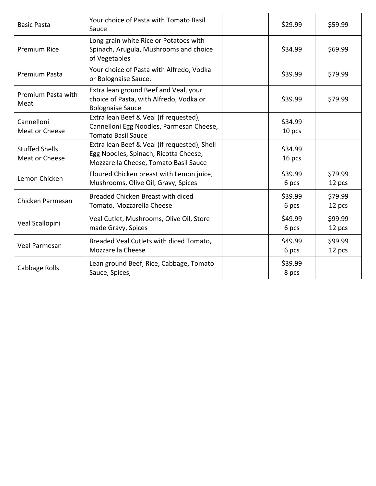| <b>Basic Pasta</b>                      | Your choice of Pasta with Tomato Basil<br>Sauce                                                                                | \$29.99           | \$59.99           |
|-----------------------------------------|--------------------------------------------------------------------------------------------------------------------------------|-------------------|-------------------|
| <b>Premium Rice</b>                     | Long grain white Rice or Potatoes with<br>Spinach, Arugula, Mushrooms and choice<br>of Vegetables                              | \$34.99           | \$69.99           |
| Premium Pasta                           | Your choice of Pasta with Alfredo, Vodka<br>or Bolognaise Sauce.                                                               | \$39.99           | \$79.99           |
| Premium Pasta with<br>Meat              | Extra lean ground Beef and Veal, your<br>choice of Pasta, with Alfredo, Vodka or<br><b>Bolognaise Sauce</b>                    | \$39.99           | \$79.99           |
| Cannelloni<br>Meat or Cheese            | Extra lean Beef & Veal (if requested),<br>Cannelloni Egg Noodles, Parmesan Cheese,<br><b>Tomato Basil Sauce</b>                | \$34.99<br>10 pcs |                   |
| <b>Stuffed Shells</b><br>Meat or Cheese | Extra lean Beef & Veal (if requested), Shell<br>Egg Noodles, Spinach, Ricotta Cheese,<br>Mozzarella Cheese, Tomato Basil Sauce | \$34.99<br>16 pcs |                   |
| Lemon Chicken                           | Floured Chicken breast with Lemon juice,<br>Mushrooms, Olive Oil, Gravy, Spices                                                | \$39.99<br>6 pcs  | \$79.99<br>12 pcs |
| Chicken Parmesan                        | Breaded Chicken Breast with diced<br>Tomato, Mozzarella Cheese                                                                 | \$39.99<br>6 pcs  | \$79.99<br>12 pcs |
| Veal Scallopini                         | Veal Cutlet, Mushrooms, Olive Oil, Store<br>made Gravy, Spices                                                                 | \$49.99<br>6 pcs  | \$99.99<br>12 pcs |
| Veal Parmesan                           | Breaded Veal Cutlets with diced Tomato,<br>Mozzarella Cheese                                                                   | \$49.99<br>6 pcs  | \$99.99<br>12 pcs |
| Cabbage Rolls                           | Lean ground Beef, Rice, Cabbage, Tomato<br>Sauce, Spices,                                                                      | \$39.99<br>8 pcs  |                   |